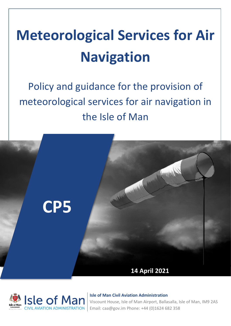# **Meteorological Services for Air Navigation**

Policy and guidance for the provision of meteorological services for air navigation in the Isle of Man





**Isle of Man Civil Aviation Administration**

Viscount House, Isle of Man Airport, Ballasalla, Isle of Man, IM9 2AS Email: caa@gov.im Phone: +44 (0)1624 682 358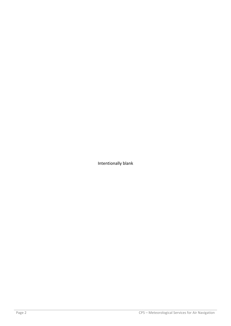Intentionally blank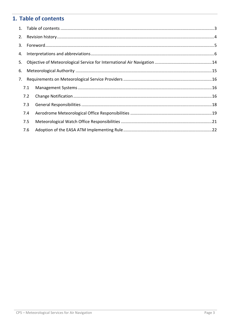# <span id="page-2-0"></span>1. Table of contents

| 4. |     |  |
|----|-----|--|
| 5. |     |  |
| 6. |     |  |
| 7. |     |  |
|    | 7.1 |  |
|    | 7.2 |  |
|    | 7.3 |  |
|    | 7.4 |  |
|    | 7.5 |  |
|    | 7.6 |  |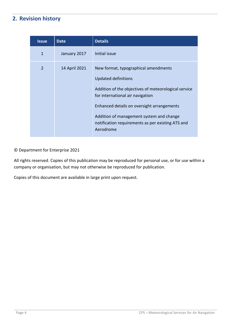# <span id="page-3-0"></span>**2. Revision history**

| <b>Issue</b> | <b>Date</b>   | <b>Details</b>                                                                                                                                                                                                                                                                                                             |
|--------------|---------------|----------------------------------------------------------------------------------------------------------------------------------------------------------------------------------------------------------------------------------------------------------------------------------------------------------------------------|
| $\mathbf{1}$ | January 2017  | Initial issue                                                                                                                                                                                                                                                                                                              |
| 2            | 14 April 2021 | New format, typographical amendments<br><b>Updated definitions</b><br>Addition of the objectives of meteorological service<br>for international air navigation<br>Enhanced details on oversight arrangements<br>Addition of management system and change<br>notification requirements as per existing ATS and<br>Aerodrome |

#### © Department for Enterprise 2021

All rights reserved. Copies of this publication may be reproduced for personal use, or for use within a company or organisation, but may not otherwise be reproduced for publication.

Copies of this document are available in large print upon request.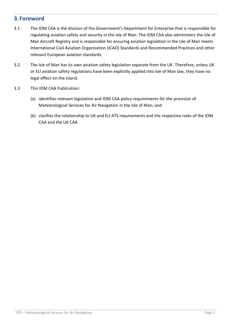## <span id="page-4-0"></span>**3. Foreword**

- 3.1 The IOM CAA is the division of the Government's Department for Enterprise that is responsible for regulating aviation safety and security in the Isle of Man. The IOM CAA also administers the Isle of Man Aircraft Registry and is responsible for ensuring aviation legislation in the Isle of Man meets International Civil Aviation Organisation (ICAO) Standards and Recommended Practices and other relevant European aviation standards.
- 3.2 The Isle of Man has its own aviation safety legislation separate from the UK. Therefore, unless UK or EU aviation safety regulations have been explicitly applied into Isle of Man law, they have no legal effect on the Island.
- 3.3 This IOM CAA Publication:
	- (a) identifies relevant legislation and IOM CAA policy requirements for the provision of Meteorological Services for Air Navigation in the Isle of Man; and
	- (b) clarifies the relationship to UK and EU ATS requirements and the respective roles of the IOM CAA and the UK CAA.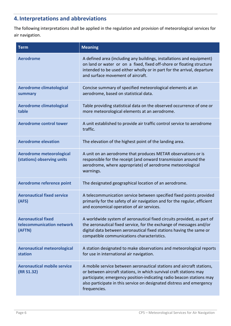# <span id="page-5-0"></span>**4.Interpretations and abbreviations**

The following interpretations shall be applied in the regulation and provision of meteorological services for air navigation.

| <b>Term</b>                                                      | <b>Meaning</b>                                                                                                                                                                                                                                                                                               |
|------------------------------------------------------------------|--------------------------------------------------------------------------------------------------------------------------------------------------------------------------------------------------------------------------------------------------------------------------------------------------------------|
| <b>Aerodrome</b>                                                 | A defined area (including any buildings, installations and equipment)<br>on land or water or on a fixed, fixed off-shore or floating structure<br>intended to be used either wholly or in part for the arrival, departure<br>and surface movement of aircraft.                                               |
| <b>Aerodrome climatological</b><br>summary                       | Concise summary of specified meteorological elements at an<br>aerodrome, based on statistical data.                                                                                                                                                                                                          |
| <b>Aerodrome climatological</b><br>table                         | Table providing statistical data on the observed occurrence of one or<br>more meteorological elements at an aerodrome.                                                                                                                                                                                       |
| <b>Aerodrome control tower</b>                                   | A unit established to provide air traffic control service to aerodrome<br>traffic.                                                                                                                                                                                                                           |
| <b>Aerodrome elevation</b>                                       | The elevation of the highest point of the landing area.                                                                                                                                                                                                                                                      |
| <b>Aerodrome meteorological</b><br>(stations) observing units    | A unit on an aerodrome that produces METAR observations or is<br>responsible for the receipt (and onward transmission around the<br>aerodrome, where appropriate) of aerodrome meteorological<br>warnings.                                                                                                   |
| Aerodrome reference point                                        | The designated geographical location of an aerodrome.                                                                                                                                                                                                                                                        |
| <b>Aeronautical fixed service</b><br>(AFS)                       | A telecommunication service between specified fixed points provided<br>primarily for the safety of air navigation and for the regular, efficient<br>and economical operation of air services.                                                                                                                |
| <b>Aeronautical fixed</b><br>telecommunication network<br>(AFTN) | A worldwide system of aeronautical fixed circuits provided, as part of<br>the aeronautical fixed service, for the exchange of messages and/or<br>digital data between aeronautical fixed stations having the same or<br>compatible communications characteristics.                                           |
| <b>Aeronautical meteorological</b><br>station                    | A station designated to make observations and meteorological reports<br>for use in international air navigation.                                                                                                                                                                                             |
| <b>Aeronautical mobile service</b><br>(RR S1.32)                 | A mobile service between aeronautical stations and aircraft stations,<br>or between aircraft stations, in which survival craft stations may<br>participate; emergency position-indicating radio beacon stations may<br>also participate in this service on designated distress and emergency<br>frequencies. |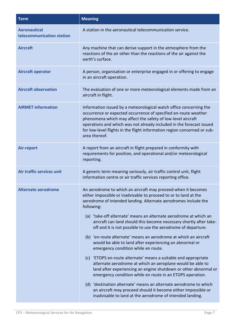| <b>Term</b>                                      | <b>Meaning</b>                                                                                                                                                                                                                                                                                                                                                            |  |
|--------------------------------------------------|---------------------------------------------------------------------------------------------------------------------------------------------------------------------------------------------------------------------------------------------------------------------------------------------------------------------------------------------------------------------------|--|
| <b>Aeronautical</b><br>telecommunication station | A station in the aeronautical telecommunication service.                                                                                                                                                                                                                                                                                                                  |  |
| <b>Aircraft</b>                                  | Any machine that can derive support in the atmosphere from the<br>reactions of the air other than the reactions of the air against the<br>earth's surface.                                                                                                                                                                                                                |  |
| <b>Aircraft operator</b>                         | A person, organisation or enterprise engaged in or offering to engage<br>in an aircraft operation.                                                                                                                                                                                                                                                                        |  |
| <b>Aircraft observation</b>                      | The evaluation of one or more meteorological elements made from an<br>aircraft in flight.                                                                                                                                                                                                                                                                                 |  |
| <b>AIRMET information</b>                        | Information issued by a meteorological watch office concerning the<br>occurrence or expected occurrence of specified en-route weather<br>phenomena which may affect the safety of low-level aircraft<br>operations and which was not already included in the forecast issued<br>for low-level flights in the flight information region concerned or sub-<br>area thereof. |  |
| Air-report                                       | A report from an aircraft in flight prepared in conformity with<br>requirements for position, and operational and/or meteorological<br>reporting.                                                                                                                                                                                                                         |  |
| Air traffic services unit                        | A generic term meaning variously, air traffic control unit, flight<br>information centre or air traffic services reporting office.                                                                                                                                                                                                                                        |  |
| <b>Alternate aerodrome</b>                       | An aerodrome to which an aircraft may proceed when it becomes<br>either impossible or inadvisable to proceed to or to land at the<br>aerodrome of intended landing. Alternate aerodromes include the<br>following:                                                                                                                                                        |  |
|                                                  | (a) 'take-off alternate' means an alternate aerodrome at which an<br>aircraft can land should this become necessary shortly after take-<br>off and it is not possible to use the aerodrome of departure.                                                                                                                                                                  |  |
|                                                  | (b) 'en-route alternate' means an aerodrome at which an aircraft<br>would be able to land after experiencing an abnormal or<br>emergency condition while en route.                                                                                                                                                                                                        |  |
|                                                  | (c) 'ETOPS en-route alternate' means a suitable and appropriate<br>alternate aerodrome at which an aeroplane would be able to<br>land after experiencing an engine shutdown or other abnormal or<br>emergency condition while en route in an ETOPS operation.                                                                                                             |  |
|                                                  | (d) 'destination alternate' means an alternate aerodrome to which<br>an aircraft may proceed should it become either impossible or<br>inadvisable to land at the aerodrome of intended landing.                                                                                                                                                                           |  |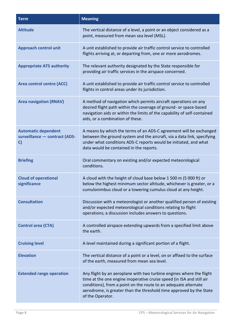| <b>Term</b>                                                       | <b>Meaning</b>                                                                                                                                                                                                                                                                                              |
|-------------------------------------------------------------------|-------------------------------------------------------------------------------------------------------------------------------------------------------------------------------------------------------------------------------------------------------------------------------------------------------------|
| <b>Altitude</b>                                                   | The vertical distance of a level, a point or an object considered as a<br>point, measured from mean sea level (MSL).                                                                                                                                                                                        |
| <b>Approach control unit</b>                                      | A unit established to provide air traffic control service to controlled<br>flights arriving at, or departing from, one or more aerodromes.                                                                                                                                                                  |
| <b>Appropriate ATS authority</b>                                  | The relevant authority designated by the State responsible for<br>providing air traffic services in the airspace concerned.                                                                                                                                                                                 |
| <b>Area control centre (ACC)</b>                                  | A unit established to provide air traffic control service to controlled<br>flights in control areas under its jurisdiction.                                                                                                                                                                                 |
| <b>Area navigation (RNAV)</b>                                     | A method of navigation which permits aircraft operations on any<br>desired flight path within the coverage of ground- or space-based<br>navigation aids or within the limits of the capability of self-contained<br>aids, or a combination of these.                                                        |
| <b>Automatic dependent</b><br>surveillance - contract (ADS-<br>C) | A means by which the terms of an ADS-C agreement will be exchanged<br>between the ground system and the aircraft, via a data link, specifying<br>under what conditions ADS-C reports would be initiated, and what<br>data would be contained in the reports.                                                |
| <b>Briefing</b>                                                   | Oral commentary on existing and/or expected meteorological<br>conditions.                                                                                                                                                                                                                                   |
| <b>Cloud of operational</b><br>significance                       | A cloud with the height of cloud base below 1 500 m (5 000 ft) or<br>below the highest minimum sector altitude, whichever is greater, or a<br>cumulonimbus cloud or a towering cumulus cloud at any height.                                                                                                 |
| <b>Consultation</b>                                               | Discussion with a meteorologist or another qualified person of existing<br>and/or expected meteorological conditions relating to flight<br>operations; a discussion includes answers to questions.                                                                                                          |
| <b>Control area (CTA)</b>                                         | A controlled airspace extending upwards from a specified limit above<br>the earth.                                                                                                                                                                                                                          |
| <b>Cruising level</b>                                             | A level maintained during a significant portion of a flight.                                                                                                                                                                                                                                                |
| <b>Elevation</b>                                                  | The vertical distance of a point or a level, on or affixed to the surface<br>of the earth, measured from mean sea level.                                                                                                                                                                                    |
| <b>Extended range operation</b>                                   | Any flight by an aeroplane with two turbine engines where the flight<br>time at the one engine inoperative cruise speed (in ISA and still air<br>conditions), from a point on the route to an adequate alternate<br>aerodrome, is greater than the threshold time approved by the State<br>of the Operator. |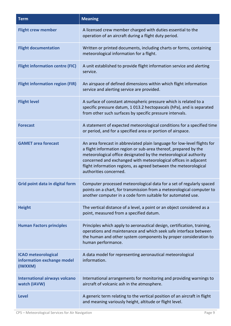| <b>Term</b>                                                         | <b>Meaning</b>                                                                                                                                                                                                                                                                                                                                                                    |
|---------------------------------------------------------------------|-----------------------------------------------------------------------------------------------------------------------------------------------------------------------------------------------------------------------------------------------------------------------------------------------------------------------------------------------------------------------------------|
| <b>Flight crew member</b>                                           | A licensed crew member charged with duties essential to the<br>operation of an aircraft during a flight duty period.                                                                                                                                                                                                                                                              |
| <b>Flight documentation</b>                                         | Written or printed documents, including charts or forms, containing<br>meteorological information for a flight.                                                                                                                                                                                                                                                                   |
| <b>Flight information centre (FIC)</b>                              | A unit established to provide flight information service and alerting<br>service.                                                                                                                                                                                                                                                                                                 |
| <b>Flight information region (FIR)</b>                              | An airspace of defined dimensions within which flight information<br>service and alerting service are provided.                                                                                                                                                                                                                                                                   |
| <b>Flight level</b>                                                 | A surface of constant atmospheric pressure which is related to a<br>specific pressure datum, 1 013.2 hectopascals (hPa), and is separated<br>from other such surfaces by specific pressure intervals.                                                                                                                                                                             |
| <b>Forecast</b>                                                     | A statement of expected meteorological conditions for a specified time<br>or period, and for a specified area or portion of airspace.                                                                                                                                                                                                                                             |
| <b>GAMET</b> area forecast                                          | An area forecast in abbreviated plain language for low-level flights for<br>a flight information region or sub-area thereof, prepared by the<br>meteorological office designated by the meteorological authority<br>concerned and exchanged with meteorological offices in adjacent<br>flight information regions, as agreed between the meteorological<br>authorities concerned. |
| Grid point data in digital form                                     | Computer processed meteorological data for a set of regularly spaced<br>points on a chart, for transmission from a meteorological computer to<br>another computer in a code form suitable for automated use.                                                                                                                                                                      |
| <b>Height</b>                                                       | The vertical distance of a level, a point or an object considered as a<br>point, measured from a specified datum.                                                                                                                                                                                                                                                                 |
| <b>Human Factors principles</b>                                     | Principles which apply to aeronautical design, certification, training,<br>operations and maintenance and which seek safe interface between<br>the human and other system components by proper consideration to<br>human performance.                                                                                                                                             |
| <b>ICAO</b> meteorological<br>information exchange model<br>(IWXXM) | A data model for representing aeronautical meteorological<br>information.                                                                                                                                                                                                                                                                                                         |
| International airways volcano<br>watch (IAVW)                       | International arrangements for monitoring and providing warnings to<br>aircraft of volcanic ash in the atmosphere.                                                                                                                                                                                                                                                                |
| <b>Level</b>                                                        | A generic term relating to the vertical position of an aircraft in flight<br>and meaning variously height, altitude or flight level.                                                                                                                                                                                                                                              |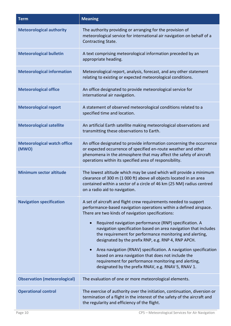| <b>Term</b>                                 | <b>Meaning</b>                                                                                                                                                                                                                                                                                                                                                                                                                                                                                                                                                                                                                                                                                                 |
|---------------------------------------------|----------------------------------------------------------------------------------------------------------------------------------------------------------------------------------------------------------------------------------------------------------------------------------------------------------------------------------------------------------------------------------------------------------------------------------------------------------------------------------------------------------------------------------------------------------------------------------------------------------------------------------------------------------------------------------------------------------------|
| <b>Meteorological authority</b>             | The authority providing or arranging for the provision of<br>meteorological service for international air navigation on behalf of a<br>Contracting State.                                                                                                                                                                                                                                                                                                                                                                                                                                                                                                                                                      |
| <b>Meteorological bulletin</b>              | A text comprising meteorological information preceded by an<br>appropriate heading.                                                                                                                                                                                                                                                                                                                                                                                                                                                                                                                                                                                                                            |
| <b>Meteorological information</b>           | Meteorological report, analysis, forecast, and any other statement<br>relating to existing or expected meteorological conditions.                                                                                                                                                                                                                                                                                                                                                                                                                                                                                                                                                                              |
| <b>Meteorological office</b>                | An office designated to provide meteorological service for<br>international air navigation.                                                                                                                                                                                                                                                                                                                                                                                                                                                                                                                                                                                                                    |
| <b>Meteorological report</b>                | A statement of observed meteorological conditions related to a<br>specified time and location.                                                                                                                                                                                                                                                                                                                                                                                                                                                                                                                                                                                                                 |
| <b>Meteorological satellite</b>             | An artificial Earth satellite making meteorological observations and<br>transmitting these observations to Earth.                                                                                                                                                                                                                                                                                                                                                                                                                                                                                                                                                                                              |
| <b>Meteorological watch office</b><br>(MWO) | An office designated to provide information concerning the occurrence<br>or expected occurrence of specified en-route weather and other<br>phenomena in the atmosphere that may affect the safety of aircraft<br>operations within its specified area of responsibility.                                                                                                                                                                                                                                                                                                                                                                                                                                       |
| <b>Minimum sector altitude</b>              | The lowest altitude which may be used which will provide a minimum<br>clearance of 300 m (1 000 ft) above all objects located in an area<br>contained within a sector of a circle of 46 km (25 NM) radius centred<br>on a radio aid to navigation.                                                                                                                                                                                                                                                                                                                                                                                                                                                             |
| <b>Navigation specification</b>             | A set of aircraft and flight crew requirements needed to support<br>performance-based navigation operations within a defined airspace.<br>There are two kinds of navigation specifications:<br>Required navigation performance (RNP) specification. A<br>$\bullet$<br>navigation specification based on area navigation that includes<br>the requirement for performance monitoring and alerting,<br>designated by the prefix RNP, e.g. RNP 4, RNP APCH.<br>Area navigation (RNAV) specification. A navigation specification<br>$\bullet$<br>based on area navigation that does not include the<br>requirement for performance monitoring and alerting,<br>designated by the prefix RNAV, e.g. RNAV 5, RNAV 1. |
| <b>Observation (meteorological)</b>         | The evaluation of one or more meteorological elements.                                                                                                                                                                                                                                                                                                                                                                                                                                                                                                                                                                                                                                                         |
| <b>Operational control</b>                  | The exercise of authority over the initiation, continuation, diversion or<br>termination of a flight in the interest of the safety of the aircraft and<br>the regularity and efficiency of the flight.                                                                                                                                                                                                                                                                                                                                                                                                                                                                                                         |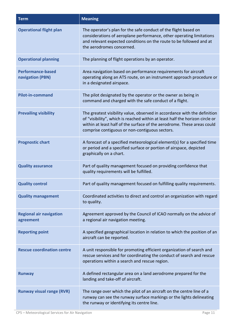| <b>Term</b>                                  | <b>Meaning</b>                                                                                                                                                                                                                                                                         |
|----------------------------------------------|----------------------------------------------------------------------------------------------------------------------------------------------------------------------------------------------------------------------------------------------------------------------------------------|
| <b>Operational flight plan</b>               | The operator's plan for the safe conduct of the flight based on<br>considerations of aeroplane performance, other operating limitations<br>and relevant expected conditions on the route to be followed and at<br>the aerodromes concerned.                                            |
| <b>Operational planning</b>                  | The planning of flight operations by an operator.                                                                                                                                                                                                                                      |
| <b>Performance-based</b><br>navigation (PBN) | Area navigation based on performance requirements for aircraft<br>operating along an ATS route, on an instrument approach procedure or<br>in a designated airspace.                                                                                                                    |
| Pilot-in-command                             | The pilot designated by the operator or the owner as being in<br>command and charged with the safe conduct of a flight.                                                                                                                                                                |
| <b>Prevailing visibility</b>                 | The greatest visibility value, observed in accordance with the definition<br>of "visibility", which is reached within at least half the horizon circle or<br>within at least half of the surface of the aerodrome. These areas could<br>comprise contiguous or non-contiguous sectors. |
| <b>Prognostic chart</b>                      | A forecast of a specified meteorological element(s) for a specified time<br>or period and a specified surface or portion of airspace, depicted<br>graphically on a chart.                                                                                                              |
| <b>Quality assurance</b>                     | Part of quality management focused on providing confidence that<br>quality requirements will be fulfilled.                                                                                                                                                                             |
| <b>Quality control</b>                       | Part of quality management focused on fulfilling quality requirements.                                                                                                                                                                                                                 |
| <b>Quality management</b>                    | Coordinated activities to direct and control an organization with regard<br>to quality.                                                                                                                                                                                                |
| <b>Regional air navigation</b><br>agreement  | Agreement approved by the Council of ICAO normally on the advice of<br>a regional air navigation meeting.                                                                                                                                                                              |
| <b>Reporting point</b>                       | A specified geographical location in relation to which the position of an<br>aircraft can be reported.                                                                                                                                                                                 |
| <b>Rescue coordination centre</b>            | A unit responsible for promoting efficient organization of search and<br>rescue services and for coordinating the conduct of search and rescue<br>operations within a search and rescue region.                                                                                        |
| <b>Runway</b>                                | A defined rectangular area on a land aerodrome prepared for the<br>landing and take-off of aircraft.                                                                                                                                                                                   |
| <b>Runway visual range (RVR)</b>             | The range over which the pilot of an aircraft on the centre line of a<br>runway can see the runway surface markings or the lights delineating<br>the runway or identifying its centre line.                                                                                            |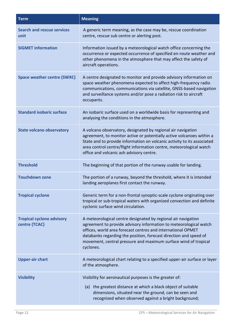| <b>Term</b>                                       | <b>Meaning</b>                                                                                                                                                                                                                                                                                                                                          |
|---------------------------------------------------|---------------------------------------------------------------------------------------------------------------------------------------------------------------------------------------------------------------------------------------------------------------------------------------------------------------------------------------------------------|
| <b>Search and rescue services</b><br>unit         | A generic term meaning, as the case may be, rescue coordination<br>centre, rescue sub centre or alerting post.                                                                                                                                                                                                                                          |
| <b>SIGMET information</b>                         | Information issued by a meteorological watch office concerning the<br>occurrence or expected occurrence of specified en-route weather and<br>other phenomena in the atmosphere that may affect the safety of<br>aircraft operations.                                                                                                                    |
| <b>Space weather centre (SWXC)</b>                | A centre designated to monitor and provide advisory information on<br>space weather phenomena expected to affect high-frequency radio<br>communications, communications via satellite, GNSS-based navigation<br>and surveillance systems and/or pose a radiation risk to aircraft<br>occupants.                                                         |
| <b>Standard isobaric surface</b>                  | An isobaric surface used on a worldwide basis for representing and<br>analysing the conditions in the atmosphere.                                                                                                                                                                                                                                       |
| <b>State volcano observatory</b>                  | A volcano observatory, designated by regional air navigation<br>agreement, to monitor active or potentially active volcanoes within a<br>State and to provide information on volcanic activity to its associated<br>area control centre/flight information centre, meteorological watch<br>office and volcanic ash advisory centre.                     |
| <b>Threshold</b>                                  | The beginning of that portion of the runway usable for landing.                                                                                                                                                                                                                                                                                         |
| <b>Touchdown zone</b>                             | The portion of a runway, beyond the threshold, where it is intended<br>landing aeroplanes first contact the runway.                                                                                                                                                                                                                                     |
| <b>Tropical cyclone</b>                           | Generic term for a non-frontal synoptic-scale cyclone originating over<br>tropical or sub-tropical waters with organized convection and definite<br>cyclonic surface wind circulation.                                                                                                                                                                  |
| <b>Tropical cyclone advisory</b><br>centre (TCAC) | A meteorological centre designated by regional air navigation<br>agreement to provide advisory information to meteorological watch<br>offices, world area forecast centres and international OPMET<br>databanks regarding the position, forecast direction and speed of<br>movement, central pressure and maximum surface wind of tropical<br>cyclones. |
| <b>Upper-air chart</b>                            | A meteorological chart relating to a specified upper-air surface or layer<br>of the atmosphere.                                                                                                                                                                                                                                                         |
| <b>Visibility</b>                                 | Visibility for aeronautical purposes is the greater of:<br>(a) the greatest distance at which a black object of suitable<br>dimensions, situated near the ground, can be seen and<br>recognized when observed against a bright background;                                                                                                              |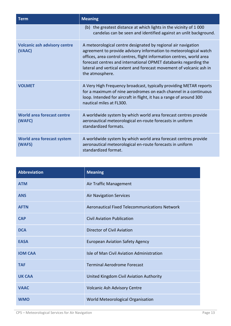| <b>Term</b>                                   | <b>Meaning</b>                                                                                                                                                                                                                                                                                                                                                             |
|-----------------------------------------------|----------------------------------------------------------------------------------------------------------------------------------------------------------------------------------------------------------------------------------------------------------------------------------------------------------------------------------------------------------------------------|
|                                               | (b) the greatest distance at which lights in the vicinity of 1000<br>candelas can be seen and identified against an unlit background.                                                                                                                                                                                                                                      |
| <b>Volcanic ash advisory centre</b><br>(VAAC) | A meteorological centre designated by regional air navigation<br>agreement to provide advisory information to meteorological watch<br>offices, area control centres, flight information centres, world area<br>forecast centres and international OPMET databanks regarding the<br>lateral and vertical extent and forecast movement of volcanic ash in<br>the atmosphere. |
| <b>VOLMET</b>                                 | A Very High Frequency broadcast, typically providing METAR reports<br>for a maximum of nine aerodromes on each channel in a continuous<br>loop. Intended for aircraft in flight, it has a range of around 300<br>nautical miles at FL300.                                                                                                                                  |
| <b>World area forecast centre</b><br>(WAFC)   | A worldwide system by which world area forecast centres provide<br>aeronautical meteorological en-route forecasts in uniform<br>standardized formats.                                                                                                                                                                                                                      |
| <b>World area forecast system</b><br>(WAFS)   | A worldwide system by which world area forecast centres provide<br>aeronautical meteorological en-route forecasts in uniform<br>standardized format.                                                                                                                                                                                                                       |

| <b>Abbreviation</b> | <b>Meaning</b>                                       |
|---------------------|------------------------------------------------------|
| <b>ATM</b>          | Air Traffic Management                               |
| <b>ANS</b>          | <b>Air Navigation Services</b>                       |
| <b>AFTN</b>         | <b>Aeronautical Fixed Telecommunications Network</b> |
| <b>CAP</b>          | <b>Civil Aviation Publication</b>                    |
| <b>DCA</b>          | Director of Civil Aviation                           |
| <b>EASA</b>         | <b>European Aviation Safety Agency</b>               |
| <b>IOM CAA</b>      | Isle of Man Civil Aviation Administration            |
| <b>TAF</b>          | <b>Terminal Aerodrome Forecast</b>                   |
| <b>UK CAA</b>       | United Kingdom Civil Aviation Authority              |
| <b>VAAC</b>         | <b>Volcanic Ash Advisory Centre</b>                  |
| <b>WMO</b>          | World Meteorological Organisation                    |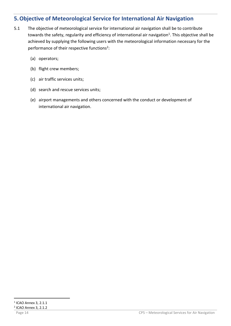# <span id="page-13-0"></span>**5.Objective of Meteorological Service for International Air Navigation**

- 5.1 The objective of meteorological service for international air navigation shall be to contribute towards the safety, regularity and efficiency of international air navigation<sup>1</sup>. This objective shall be achieved by supplying the following users with the meteorological information necessary for the performance of their respective functions<sup>2</sup>:
	- (a) operators;
	- (b) flight crew members;
	- (c) air traffic services units;
	- (d) search and rescue services units;
	- (e) airport managements and others concerned with the conduct or development of international air navigation.

-

<sup>1</sup> ICAO Annex 3, 2.1.1

<sup>2</sup> ICAO Annex 3, 2.1.2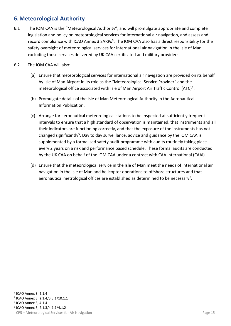# <span id="page-14-0"></span>**6.Meteorological Authority**

- 6.1 The IOM CAA is the "Meteorological Authority", and will promulgate appropriate and complete legislation and policy on meteorological services for international air navigation, and assess and record compliance with ICAO Annex 3 SARPs<sup>3</sup>. The IOM CAA also has a direct responsibility for the safety oversight of meteorological services for international air navigation in the Isle of Man, excluding those services delivered by UK CAA certificated and military providers.
- 6.2 The IOM CAA will also:
	- (a) Ensure that meteorological services for international air navigation are provided on its behalf by Isle of Man Airport in its role as the "Meteorological Service Provider" and the meteorological office associated with Isle of Man Airport Air Traffic Control (ATC)<sup>4</sup>.
	- (b) Promulgate details of the Isle of Man Meteorological Authority in the Aeronautical Information Publication.
	- (c) Arrange for aeronautical meteorological stations to be inspected at sufficiently frequent intervals to ensure that a high standard of observation is maintained, that instruments and all their indicators are functioning correctly, and that the exposure of the instruments has not changed significantly<sup>5</sup>. Day to day surveillance, advice and guidance by the IOM CAA is supplemented by a formalised safety audit programme with audits routinely taking place every 2 years on a risk and performance based schedule. These formal audits are conducted by the UK CAA on behalf of the IOM CAA under a contract with CAA International (CAAi).
	- (d) Ensure that the meteorological service in the Isle of Man meet the needs of international air navigation in the Isle of Man and helicopter operations to offshore structures and that aeronautical metrological offices are established as determined to be necessary<sup>6</sup>.

<sup>-</sup>3 ICAO Annex 3, 2.1.4

<sup>4</sup> ICAO Annex 3, 2.1.4/3.3.1/10.1.1

<sup>5</sup> ICAO Annex 3, 4.1.4

<sup>6</sup> ICAO Annex 3, 2.1.3/4.1.1/4.1.2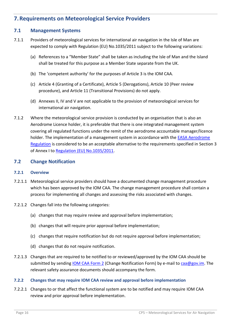## <span id="page-15-0"></span>**7.Requirements on Meteorological Service Providers**

#### <span id="page-15-1"></span>**7.1 Management Systems**

- 7.1.1 Providers of meteorological services for international air navigation in the Isle of Man are expected to comply with Regulation (EU) No.1035/2011 subject to the following variations:
	- (a) References to a "Member State" shall be taken as including the Isle of Man and the Island shall be treated for this purpose as a Member State separate from the UK.
	- (b) The 'competent authority' for the purposes of Article 3 is the IOM CAA.
	- (c) Article 4 (Granting of a Certificate), Article 5 (Derogations), Article 10 (Peer review procedure), and Article 11 (Transitional Provisions) do not apply.
	- (d) Annexes II, IV and V are not applicable to the provision of meteorological services for international air navigation.
- 7.1.2 Where the meteorological service provision is conducted by an organisation that is also an Aerodrome Licence holder, it is preferable that there is one integrated management system covering all regulated functions under the remit of the aerodrome accountable manager/licence holder. The implementation of a management system in accordance with the [EASA Aerodrome](https://www.easa.europa.eu/sites/default/files/dfu/Easy_Access_Rules_for_Aerodromes-May2019_0.pdf)  [Regulation](https://www.easa.europa.eu/sites/default/files/dfu/Easy_Access_Rules_for_Aerodromes-May2019_0.pdf) is considered to be an acceptable alternative to the requirements specified in Section 3 of Annex I to [Regulation \(EU\) No.1035/2011.](https://eur-lex.europa.eu/LexUriServ/LexUriServ.do?uri=OJ:L:2011:271:0023:0041:EN:PDF)

#### <span id="page-15-2"></span>**7.2 Change Notification**

#### **7.2.1 Overview**

- 7.2.1.1 Meteorological service providers should have a documented change management procedure which has been approved by the IOM CAA. The change management procedure shall contain a process for implementing all changes and assessing the risks associated with changes.
- 7.2.1.2 Changes fall into the following categories:
	- (a) changes that may require review and approval before implementation;
	- (b) changes that will require prior approval before implementation;
	- (c) changes that require notification but do not require approval before implementation;
	- (d) changes that do not require notification.
- 7.2.1.3 Changes that are required to be notified to or reviewed/approved by the IOM CAA should be submitted by sending [IOM CAA Form 2](https://www.gov.im/media/1360301/caa-form-2-231219.pdf) (Change Notification Form) by e-mail to [caa@gov.im.](mailto:caa@gov.im) The relevant safety assurance documents should accompany the form.

#### **7.2.2 Changes that may require IOM CAA review and approval before implementation**

7.2.2.1 Changes to or that affect the functional system are to be notified and may require IOM CAA review and prior approval before implementation.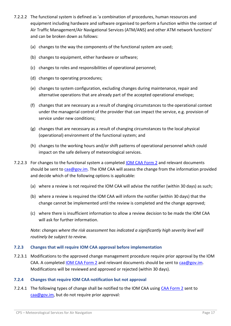- 7.2.2.2 The functional system is defined as 'a combination of procedures, human resources and equipment including hardware and software organised to perform a function within the context of Air Traffic Management/Air Navigational Services (ATM/ANS) and other ATM network functions' and can be broken down as follows:
	- (a) changes to the way the components of the functional system are used;
	- (b) changes to equipment, either hardware or software;
	- (c) changes to roles and responsibilities of operational personnel;
	- (d) changes to operating procedures;
	- (e) changes to system configuration, excluding changes during maintenance, repair and alternative operations that are already part of the accepted operational envelope;
	- (f) changes that are necessary as a result of changing circumstances to the operational context under the managerial control of the provider that can impact the service, e.g. provision of service under new conditions;
	- (g) changes that are necessary as a result of changing circumstances to the local physical (operational) environment of the functional system; and
	- (h) changes to the working hours and/or shift patterns of operational personnel which could impact on the safe delivery of meteorological services.
- 7.2.2.3 For changes to the functional system a completed [IOM CAA Form 2](https://www.gov.im/media/1360301/caa-form-2-231219.pdf) and relevant documents should be sent t[o caa@gov.im.](mailto:caa@gov.im) The IOM CAA will assess the change from the information provided and decide which of the following options is applicable:
	- (a) where a review is not required the IOM CAA will advise the notifier (within 30 days) as such;
	- (b) where a review is required the IOM CAA will inform the notifier (within 30 days) that the change cannot be implemented until the review is completed and the change approved;
	- (c) where there is insufficient information to allow a review decision to be made the IOM CAA will ask for further information.

*Note: changes where the risk assessment has indicated a significantly high severity level will routinely be subject to review.*

#### **7.2.3 Changes that will require IOM CAA approval before implementation**

7.2.3.1 Modifications to the approved change management procedure require prior approval by the IOM CAA. A completed [IOM CAA Form 2](https://www.gov.im/media/1360301/caa-form-2-231219.pdf) and relevant documents should be sent to [caa@gov.im.](mailto:caa@gov.im) Modifications will be reviewed and approved or rejected (within 30 days).

#### **7.2.4 Changes that require IOM CAA notification but not approval**

7.2.4.1 The following types of change shall be notified to the IOM CAA using [CAA Form 2](https://www.gov.im/media/1360301/caa-form-2-231219.pdf) sent to [caa@gov.im,](mailto:caa@gov.im) but do not require prior approval: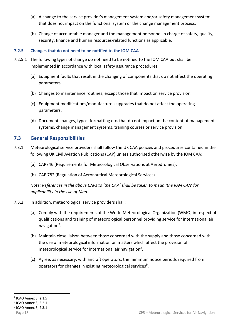- (a) A change to the service provider's management system and/or safety management system that does not impact on the functional system or the change management process.
- (b) Change of accountable manager and the management personnel in charge of safety, quality, security, finance and human resources-related functions as applicable.

#### **7.2.5 Changes that do not need to be notified to the IOM CAA**

- 7.2.5.1 The following types of change do not need to be notified to the IOM CAA but shall be implemented in accordance with local safety assurance procedures:
	- (a) Equipment faults that result in the changing of components that do not affect the operating parameters.
	- (b) Changes to maintenance routines, except those that impact on service provision.
	- (c) Equipment modifications/manufacture's upgrades that do not affect the operating parameters.
	- (d) Document changes, typos, formatting etc. that do not impact on the content of management systems, change management systems, training courses or service provision.

#### <span id="page-17-0"></span>**7.3 General Responsibilities**

- 7.3.1 Meteorological service providers shall follow the UK CAA policies and procedures contained in the following UK Civil Aviation Publications (CAP) unless authorised otherwise by the IOM CAA:
	- (a) CAP746 (Requirements for Meteorological Observations at Aerodromes);
	- (b) CAP 782 (Regulation of Aeronautical Meteorological Services).

*Note: References in the above CAPs to 'the CAA' shall be taken to mean 'the IOM CAA' for applicability in the Isle of Man.*

- 7.3.2 In addition, meteorological service providers shall:
	- (a) Comply with the requirements of the World Meteorological Organization (WMO) in respect of qualifications and training of meteorological personnel providing service for international air navigation $7$ .
	- (b) Maintain close liaison between those concerned with the supply and those concerned with the use of meteorological information on matters which affect the provision of meteorological service for international air navigation ${}^{8}$ .
	- (c) Agree, as necessary, with aircraft operators, the minimum notice periods required from operators for changes in existing meteorological services<sup>9</sup>.

-

<sup>7</sup> ICAO Annex 3, 2.1.5

<sup>8</sup> ICAO Annex 3, 2.2.1

<sup>&</sup>lt;sup>9</sup> ICAO Annex 3, 2.3.1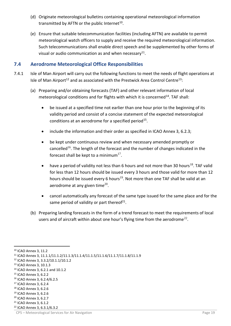- (d) Originate meteorological bulletins containing operational meteorological information transmitted by AFTN or the public Internet<sup>10</sup>.
- (e) Ensure that suitable telecommunication facilities (including AFTN) are available to permit meteorological watch officers to supply and receive the required meteorological information. Such telecommunications shall enable direct speech and be supplemented by other forms of visual or audio communication as and when necessary<sup>11</sup>.

#### <span id="page-18-0"></span>**7.4 Aerodrome Meteorological Office Responsibilities**

- 7.4.1 Isle of Man Airport will carry out the following functions to meet the needs of flight operations at Isle of Man Airport<sup>12</sup> and as associated with the Prestwick Area Control Centre<sup>13</sup>:
	- (a) Preparing and/or obtaining forecasts (TAF) and other relevant information of local meteorological conditions and for flights with which it is concerned<sup>14</sup>. TAF shall:
		- be issued at a specified time not earlier than one hour prior to the beginning of its validity period and consist of a concise statement of the expected meteorological conditions at an aerodrome for a specified period<sup>15</sup>.
		- include the information and their order as specified in ICAO Annex 3, 6.2.3;
		- be kept under continuous review and when necessary amended promptly or cancelled<sup>16</sup>. The length of the forecast and the number of changes indicated in the forecast shall be kept to a minimum $^{17}$ .
		- have a period of validity not less than 6 hours and not more than 30 hours<sup>18</sup>. TAF valid for less than 12 hours should be issued every 3 hours and those valid for more than 12 hours should be issued every 6 hours<sup>19</sup>. Not more than one TAF shall be valid at an aerodrome at any given time<sup>20</sup>.
		- cancel automatically any forecast of the same type issued for the same place and for the same period of validity or part thereof<sup>21</sup>.
	- (b) Preparing landing forecasts in the form of a trend forecast to meet the requirements of local users and of aircraft within about one hour's flying time from the aerodrome<sup>22</sup>.

<sup>-</sup><sup>10</sup> ICAO Annex 3, 11.2

<sup>&</sup>lt;sup>11</sup> ICAO Annex 3, 11.1.1/11.1.2/11.1.3/11.1.4/11.1.5/11.1.6/11.1.7/11.1.8/11.1.9

<sup>12</sup> ICAO Annex 3, 3.3.2/10.1.1/10.1.2

<sup>13</sup> ICAO Annex 3, 10.1.3

<sup>14</sup> ICAO Annex 3, 6.2.1 and 10.1.2

<sup>15</sup> ICAO Annex 3, 6.2.2

<sup>16</sup> ICAO Annex 3, 6.2.4/6.2.5

<sup>17</sup> ICAO Annex 3, 6.2.4

<sup>18</sup> ICAO Annex 3, 6.2.6

<sup>19</sup> ICAO Annex 3, 6.2.6

<sup>20</sup> ICAO Annex 3, 6.2.7

<sup>21</sup> ICAO Annex 3, 6.1.2 <sup>22</sup> ICAO Annex 3, 6.3.1/6.3.2

CP5 – Meteorological Services for Air Navigation Page 19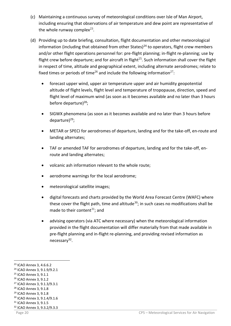- (c) Maintaining a continuous survey of meteorological conditions over Isle of Man Airport, including ensuring that observations of air temperature and dew point are representative of the whole runway complex<sup>23</sup>.
- (d) Providing up to date briefing, consultation, flight documentation and other meteorological information (including that obtained from other States)<sup>24</sup> to operators, flight crew members and/or other flight operations personnel for: pre-flight planning; in-flight re-planning; use by flight crew before departure; and for aircraft in flight<sup>25</sup>. Such information shall cover the flight in respect of time, altitude and geographical extent, including alternate aerodromes; relate to fixed times or periods of time<sup>26</sup> and include the following information<sup>27</sup>:
	- forecast upper wind, upper air temperature upper and air humidity geopotential altitude of flight levels, flight level and temperature of tropopause, direction, speed and flight level of maximum wind (as soon as it becomes available and no later than 3 hours before departure $)^{28}$ ;
	- SIGWX phenomena (as soon as it becomes available and no later than 3 hours before departure) $^{29}$ ;
	- METAR or SPECI for aerodromes of departure, landing and for the take-off, en-route and landing alternates;
	- TAF or amended TAF for aerodromes of departure, landing and for the take-off, enroute and landing alternates;
	- volcanic ash information relevant to the whole route;
	- aerodrome warnings for the local aerodrome;
	- meteorological satellite images;
	- digital forecasts and charts provided by the World Area Forecast Centre (WAFC) where these cover the flight path, time and altitude<sup>30</sup>; in such cases no modifications shall be made to their content<sup>31</sup>; and
	- advising operators (via ATC where necessary) when the meteorological information provided in the flight documentation will differ materially from that made available in pre-flight planning and in-flight re-planning, and providing revised information as necessary<sup>32</sup>.

<sup>-</sup><sup>23</sup> ICAO Annex 3, 4.6.6.2

<sup>24</sup> ICAO Annex 3, 9.1.9/9.2.1

<sup>25</sup> ICAO Annex 3, 9.1.1

<sup>26</sup> ICAO Annex 3, 9.1.2

<sup>27</sup> ICAO Annex 3, 9.1.3/9.3.1

<sup>28</sup> ICAO Annex 3, 9.1.8

<sup>29</sup> ICAO Annex 3, 9.1.8

<sup>30</sup> ICAO Annex 3, 9.1.4/9.1.6

<sup>31</sup> ICAO Annex 3, 9.1.5

<sup>32</sup> ICAO Annex 3, 9.3.2/9.3.3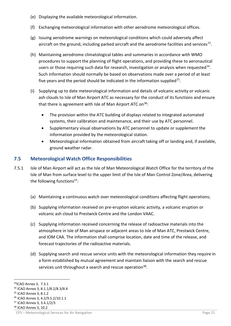- (e) Displaying the available meteorological information.
- (f) Exchanging meteorological information with other aerodrome meteorological offices.
- (g) Issuing aerodrome warnings on meteorological conditions which could adversely affect aircraft on the ground, including parked aircraft and the aerodrome facilities and services<sup>33</sup>.
- (h) Maintaining aerodrome climatological tables and summaries in accordance with WMO procedures to support the planning of flight operations, and providing these to aeronautical users or those requiring such data for research, investigation or analysis when requested<sup>34</sup>. Such information should normally be based on observations made over a period of at least five years and the period should be indicated in the information supplied<sup>35</sup>.
- (i) Supplying up to date meteorological information and details of volcanic activity or volcanic ash clouds to Isle of Man Airport ATC as necessary for the conduct of its functions and ensure that there is agreement with Isle of Man Airport ATC on<sup>36</sup>:
	- The provision within the ATC building of displays related to integrated automated systems, their calibration and maintenance, and their use by ATC personnel.
	- Supplementary visual observations by ATC personnel to update or supplement the information provided by the meteorological station.
	- Meteorological information obtained from aircraft taking off or landing and, if available, ground weather radar.

### <span id="page-20-0"></span>**7.5 Meteorological Watch Office Responsibilities**

- 7.5.1 Isle of Man Airport will act as the Isle of Man Meteorological Watch Office for the territory of the Isle of Man from surface level to the upper limit of the Isle of Man Control Zone/Area, delivering the following functions<sup>37</sup>:
	- (a) Maintaining a continuous watch over meteorological conditions affecting flight operations;
	- (b) Supplying information received on pre-eruption volcanic activity, a volcanic eruption or volcanic ash cloud to Prestwick Centre and the London VAAC.
	- (c) Supplying information received concerning the release of radioactive materials into the atmosphere in Isle of Man airspace or adjacent areas to Isle of Man ATC, Prestwick Centre, and IOM CAA. The information shall comprise location, date and time of the release, and forecast trajectories of the radioactive materials.
	- (d) Supplying search and rescue service units with the meteorological information they require in a form established by mutual agreement and maintain liaison with the search and rescue services unit throughout a search and rescue operation<sup>38</sup>.

<sup>-</sup>33 ICAO Annex 3, 7.3.1

<sup>34</sup> ICAO Annex 3, 8.1.1/8.2/8.3/8.4

<sup>&</sup>lt;sup>35</sup> ICAO Annex 3, 8.1.2

<sup>36</sup> ICAO Annex 3, 4.2/9.5.2/10.1.1

<sup>37</sup> ICAO Annex 3, 3.4.1/2/3

<sup>38</sup> ICAO Annex 3, 10.2